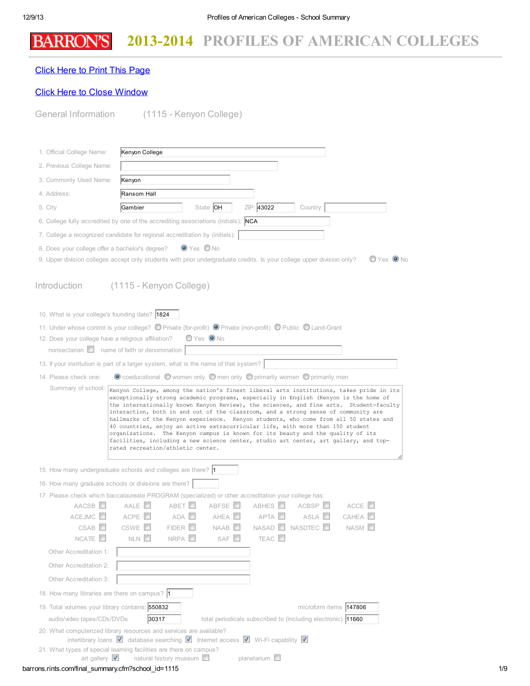## 2013-2014 PROFILES OF AMERICAN COLLEGES **BARRON'S**

## Click Here to Print This [Page](javascript:window.print();)

## Click Here to Close [Window](javascript:window.close();)

| General Information                                   | (1115 - Kenyon College)                                                                                                                                                                                                                                                                                                                                                                                                                                                                                                                                                                                                                                        |
|-------------------------------------------------------|----------------------------------------------------------------------------------------------------------------------------------------------------------------------------------------------------------------------------------------------------------------------------------------------------------------------------------------------------------------------------------------------------------------------------------------------------------------------------------------------------------------------------------------------------------------------------------------------------------------------------------------------------------------|
|                                                       |                                                                                                                                                                                                                                                                                                                                                                                                                                                                                                                                                                                                                                                                |
| 1. Official College Name:                             | Kenyon College                                                                                                                                                                                                                                                                                                                                                                                                                                                                                                                                                                                                                                                 |
| 2. Previous College Name:                             |                                                                                                                                                                                                                                                                                                                                                                                                                                                                                                                                                                                                                                                                |
| 3. Commonly Used Name:                                | Kenyon                                                                                                                                                                                                                                                                                                                                                                                                                                                                                                                                                                                                                                                         |
| 4. Address:                                           | Ransom Hall                                                                                                                                                                                                                                                                                                                                                                                                                                                                                                                                                                                                                                                    |
| 5. City                                               | State: OH<br>ZIP: 43022<br>Gambier<br>Country:                                                                                                                                                                                                                                                                                                                                                                                                                                                                                                                                                                                                                 |
|                                                       | 6. College fully accredited by one of the accrediting associations (initials): <b>NCA</b>                                                                                                                                                                                                                                                                                                                                                                                                                                                                                                                                                                      |
|                                                       | 7. College a recognized candidate for regional accreditation by (initials):                                                                                                                                                                                                                                                                                                                                                                                                                                                                                                                                                                                    |
| 8. Does your college offer a bachelor's degree?       | $\bullet$ Yes $\bullet$ No                                                                                                                                                                                                                                                                                                                                                                                                                                                                                                                                                                                                                                     |
|                                                       | $OYes$ ONo<br>9. Upper division colleges accept only students with prior undergraduate credits. Is your college upper division only?                                                                                                                                                                                                                                                                                                                                                                                                                                                                                                                           |
| Introduction                                          | (1115 - Kenyon College)                                                                                                                                                                                                                                                                                                                                                                                                                                                                                                                                                                                                                                        |
| 10. What is your college's founding date? 1824        |                                                                                                                                                                                                                                                                                                                                                                                                                                                                                                                                                                                                                                                                |
|                                                       | 11. Under whose control is your college? © Private (for-profit) © Private (non-profit) © Public © Land-Grant                                                                                                                                                                                                                                                                                                                                                                                                                                                                                                                                                   |
| 12. Does your college have a religious affiliation?   | $OYes$ ONo                                                                                                                                                                                                                                                                                                                                                                                                                                                                                                                                                                                                                                                     |
| nonsectarian $\Box$ name of faith or denomination     |                                                                                                                                                                                                                                                                                                                                                                                                                                                                                                                                                                                                                                                                |
|                                                       | 13. If your institution is part of a larger system, what is the name of that system?                                                                                                                                                                                                                                                                                                                                                                                                                                                                                                                                                                           |
| 14. Please check one:<br>Summary of school:           | $\bullet$ coeducational $\circlearrowright$ women only $\circlearrowright$ men only $\circlearrowright$ primarily women $\circlearrowright$ primarily men                                                                                                                                                                                                                                                                                                                                                                                                                                                                                                      |
|                                                       | exceptionally strong academic programs, especially in English (Kenyon is the home of<br>the internationally known Kenyon Review), the sciences, and fine arts. Student-faculty<br>interaction, both in and out of the classroom, and a strong sense of community are<br>hallmarks of the Kenyon experience. Kenyon students, who come from all 50 states and<br>40 countries, enjoy an active extracurricular life, with more than 150 student<br>organizations. The Kenyon campus is known for its beauty and the quality of its<br>facilities, including a new science center, studio art center, art gallery, and top-<br>rated recreation/athletic center. |
|                                                       | 15. How many undergraduate schools and colleges are there?  1                                                                                                                                                                                                                                                                                                                                                                                                                                                                                                                                                                                                  |
| 16. How many graduate schools or divisions are there? |                                                                                                                                                                                                                                                                                                                                                                                                                                                                                                                                                                                                                                                                |
|                                                       | 17. Please check which baccalaureate PROGRAM (specialized) or other accreditation your college has:                                                                                                                                                                                                                                                                                                                                                                                                                                                                                                                                                            |
| AACSB <sup>II</sup>                                   | AALE <sup>I</sup><br>ABET <b>D</b><br>ABFSE <sup>D</sup><br>ABHES <sup>II</sup><br>ACBSP<br>ACCE <sup>II</sup>                                                                                                                                                                                                                                                                                                                                                                                                                                                                                                                                                 |
| ACEJMC<br>CSAB                                        | ACPE <sup>D</sup><br>ASLA <b>D</b><br>CAHEA <b>I</b><br>ADA <b>D</b><br>AHEA <b>ID</b><br>APTA <b>D</b><br>CSWE <sup>I</sup><br>FIDER<br>NAAB<br>NASAD NASDTEC O<br>NASM <sup>L</sup>                                                                                                                                                                                                                                                                                                                                                                                                                                                                          |
| NCATE <sup>D</sup>                                    | NLN <b>D</b><br>NRPA <sup>D</sup><br>SAF <sup>I</sup><br>TEAC <sup>I</sup>                                                                                                                                                                                                                                                                                                                                                                                                                                                                                                                                                                                     |
| Other Accreditation 1:                                |                                                                                                                                                                                                                                                                                                                                                                                                                                                                                                                                                                                                                                                                |
| Other Accreditation 2:                                |                                                                                                                                                                                                                                                                                                                                                                                                                                                                                                                                                                                                                                                                |
| Other Accreditation 3:                                |                                                                                                                                                                                                                                                                                                                                                                                                                                                                                                                                                                                                                                                                |
| 18. How many libraries are there on campus? 1         |                                                                                                                                                                                                                                                                                                                                                                                                                                                                                                                                                                                                                                                                |
| 19. Total volumes your library contains: 550832       | microform items 147806                                                                                                                                                                                                                                                                                                                                                                                                                                                                                                                                                                                                                                         |
| audio/video tapes/CDs/DVDs                            | 30317<br>total periodicals subscribed to (including electronic) <b>11660</b>                                                                                                                                                                                                                                                                                                                                                                                                                                                                                                                                                                                   |
|                                                       |                                                                                                                                                                                                                                                                                                                                                                                                                                                                                                                                                                                                                                                                |
|                                                       | 20. What computerized library resources and services are available?<br>interlibrary loans <b>V</b> database searching <b>V</b> Internet access <b>V</b> Wi-Fi capability <b>V</b>                                                                                                                                                                                                                                                                                                                                                                                                                                                                              |

## barrons.rints.com/final\_summary.cfm?school\_id=1115 1/9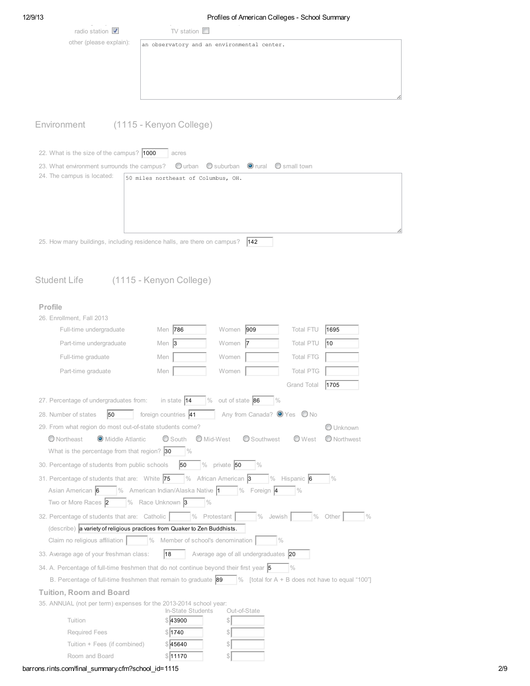| ĸ<br>"<br>э. |  |
|--------------|--|
|--------------|--|

| $\sim$<br>radio station $\sqrt{\phantom{a}}$ | $\mathcal{L}$<br>TV station $\Box$          |  |
|----------------------------------------------|---------------------------------------------|--|
| other (please explain):                      | an observatory and an environmental center. |  |
|                                              |                                             |  |
|                                              |                                             |  |
|                                              |                                             |  |
|                                              |                                             |  |
|                                              |                                             |  |

# Environment (1115 - Kenyon College)

J.

÷.

| 22. What is the size of the campus? 1000                                       |                                     | acres |     |  |
|--------------------------------------------------------------------------------|-------------------------------------|-------|-----|--|
| 23. What environment surrounds the campus? Ourban Osuburban Orural Osmall town |                                     |       |     |  |
| 24. The campus is located:                                                     | 50 miles northeast of Columbus, OH. |       |     |  |
|                                                                                |                                     |       |     |  |
|                                                                                |                                     |       |     |  |
|                                                                                |                                     |       |     |  |
|                                                                                |                                     |       |     |  |
|                                                                                |                                     |       |     |  |
| 25. How many buildings, including residence halls, are there on campus?        |                                     |       | 142 |  |

Student Life (1115 - Kenyon College)

## Profile

| 26. Enrollment, Fall 2013                                                                                                                        |                                   |                                        |                         |                        |  |
|--------------------------------------------------------------------------------------------------------------------------------------------------|-----------------------------------|----------------------------------------|-------------------------|------------------------|--|
| Full-time undergraduate                                                                                                                          | Men 786                           | 909<br>Women                           | <b>Total FTU</b>        | 1695                   |  |
| Part-time undergraduate                                                                                                                          | Men $ 3 $                         | Women 7                                | <b>Total PTU</b>        | 10                     |  |
| Full-time graduate                                                                                                                               | Men                               | Women                                  | <b>Total FTG</b>        |                        |  |
| Part-time graduate                                                                                                                               | Men                               | Women                                  | <b>Total PTG</b>        |                        |  |
|                                                                                                                                                  |                                   |                                        | Grand Total             | 1705                   |  |
| 27. Percentage of undergraduates from:                                                                                                           | in state $ 14 $                   | out of state 86<br>$\%$                | $\%$                    |                        |  |
| 50<br>28. Number of states                                                                                                                       | foreign countries 41              | Any from Canada? <sup>O</sup> Yes O No |                         |                        |  |
| 29. From what region do most out-of-state students come?                                                                                         |                                   |                                        |                         | O Unknown              |  |
| O Northeast<br>O Middle Atlantic                                                                                                                 | South                             | Mid-West<br>Southwest                  | ◯ West                  | O Northwest            |  |
| What is the percentage from that region? $ 30\rangle$                                                                                            | $\frac{0}{0}$                     |                                        |                         |                        |  |
| 30. Percentage of students from public schools                                                                                                   | 50                                | % private 50<br>$\%$                   |                         |                        |  |
| 31. Percentage of students that are: White 75                                                                                                    |                                   | % African American 3                   | $%$ Hispanic 6          | $\frac{0}{0}$          |  |
| Asian American 6                                                                                                                                 | % American Indian/Alaska Native 1 | $\frac{0}{0}$<br>Foreign 4             | $\frac{0}{0}$           |                        |  |
| Two or More Races 2                                                                                                                              | $\%$ Race Unknown 3               | $\frac{0}{0}$                          |                         |                        |  |
| 32. Percentage of students that are: Catholic                                                                                                    |                                   | $%$ Protestant<br>$\%$                 | $\frac{0}{0}$<br>Jewish | $\frac{0}{0}$<br>Other |  |
| (describe) a variety of religious practices from Quaker to Zen Buddhists.                                                                        |                                   |                                        |                         |                        |  |
| Claim no religious affiliation   $\sqrt{ }$ % Member of school's denomination                                                                    |                                   |                                        | $\frac{0}{0}$           |                        |  |
| 33. Average age of your freshman class:                                                                                                          | 18                                | Average age of all undergraduates 20   |                         |                        |  |
| 34. A. Percentage of full-time freshmen that do not continue beyond their first year 5                                                           |                                   |                                        | $\frac{0}{0}$           |                        |  |
| B. Percentage of full-time freshmen that remain to graduate $\begin{vmatrix} 89 \\ \end{vmatrix}$ [total for A + B does not have to equal "100"] |                                   |                                        |                         |                        |  |
| <b>Tuition, Room and Board</b>                                                                                                                   |                                   |                                        |                         |                        |  |
| 35. ANNUAL (not per term) expenses for the 2013-2014 school year:                                                                                |                                   |                                        |                         |                        |  |
| Tuition                                                                                                                                          | In-State Students<br>\$13900      | Out-of-State<br>\$                     |                         |                        |  |
| Required Fees                                                                                                                                    | \$1740                            | \$                                     |                         |                        |  |
| Tuition + Fees (if combined)                                                                                                                     | \$ 45640                          | \$                                     |                         |                        |  |
| Room and Board                                                                                                                                   | \$11170                           | \$                                     |                         |                        |  |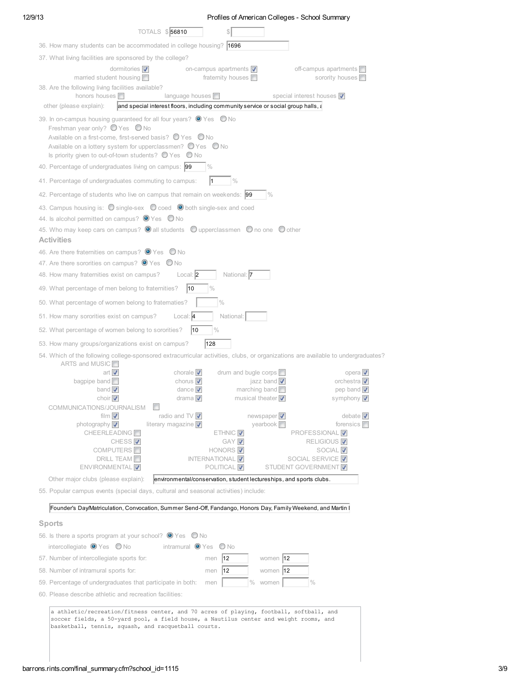| חו<br>١<br>ı<br>Ξ |  |
|-------------------|--|
|-------------------|--|

| 12/9/13 | Profiles of American Colleges - School Summary                                                                                                                                                                                                                                                                                                                                                                                                                                                                                     |
|---------|------------------------------------------------------------------------------------------------------------------------------------------------------------------------------------------------------------------------------------------------------------------------------------------------------------------------------------------------------------------------------------------------------------------------------------------------------------------------------------------------------------------------------------|
|         | TOTALS \$56810                                                                                                                                                                                                                                                                                                                                                                                                                                                                                                                     |
|         | 36. How many students can be accommodated in college housing? 1696                                                                                                                                                                                                                                                                                                                                                                                                                                                                 |
|         | 37. What living facilities are sponsored by the college?                                                                                                                                                                                                                                                                                                                                                                                                                                                                           |
|         | dormitories $\nabla$<br>on-campus apartments $\nabla$<br>off-campus apartments $\Box$<br>fraternity houses $\Box$<br>sorority houses □<br>married student housing $\Box$                                                                                                                                                                                                                                                                                                                                                           |
|         | 38. Are the following living facilities available?<br>honors houses<br>language houses $\Box$<br>special interest houses V                                                                                                                                                                                                                                                                                                                                                                                                         |
|         | other (please explain):<br>and special interest floors, including community service or social group halls, a                                                                                                                                                                                                                                                                                                                                                                                                                       |
|         | 39. In on-campus housing guaranteed for all four years? <sup>O</sup> Yes O No<br>Freshman year only? $\bigcirc$ Yes $\bigcirc$ No<br>Available on a first-come, first-served basis? ● Yes ● No<br>Available on a lottery system for upperclassmen? $\bigcirc$ Yes $\bigcirc$ No<br>Is priority given to out-of-town students? $\bigcirc$ Yes $\bigcirc$ No<br>40. Percentage of undergraduates living on campus: 99<br>$\frac{0}{0}$                                                                                               |
|         | 41. Percentage of undergraduates commuting to campus:<br>$\frac{0}{0}$                                                                                                                                                                                                                                                                                                                                                                                                                                                             |
|         | 42. Percentage of students who live on campus that remain on weekends: 99<br>$\frac{0}{0}$                                                                                                                                                                                                                                                                                                                                                                                                                                         |
|         | 43. Campus housing is: O single-sex O coed O both single-sex and coed<br>44. Is alcohol permitted on campus? <sup>O</sup> Yes O No<br>45. Who may keep cars on campus? <sup>1</sup> all students <sup>0</sup> upperclassmen 0 no one 0 other<br><b>Activities</b>                                                                                                                                                                                                                                                                  |
|         | 46. Are there fraternities on campus? ● Yes ● No                                                                                                                                                                                                                                                                                                                                                                                                                                                                                   |
|         | 47. Are there sororities on campus? $\bullet$ Yes $\bullet$ No                                                                                                                                                                                                                                                                                                                                                                                                                                                                     |
|         | National: 7<br>48. How many fraternities exist on campus?<br>Local: 2                                                                                                                                                                                                                                                                                                                                                                                                                                                              |
|         | 49. What percentage of men belong to fraternities?<br> 10                                                                                                                                                                                                                                                                                                                                                                                                                                                                          |
|         | 50. What percentage of women belong to fraternaties?                                                                                                                                                                                                                                                                                                                                                                                                                                                                               |
|         | 51. How many sororities exist on campus?<br>Local: 4<br>National:                                                                                                                                                                                                                                                                                                                                                                                                                                                                  |
|         | 52. What percentage of women belong to sororities?<br> 10<br>$\frac{0}{0}$                                                                                                                                                                                                                                                                                                                                                                                                                                                         |
|         | 128<br>53. How many groups/organizations exist on campus?                                                                                                                                                                                                                                                                                                                                                                                                                                                                          |
|         | 54. Which of the following college-sponsored extracurricular activities, clubs, or organizations are available to undergraduates?<br>ARTS and MUSIC                                                                                                                                                                                                                                                                                                                                                                                |
|         | art $\nabla$<br>chorale $\nabla$<br>drum and bugle corps<br>opera $\overline{\mathbf{v}}$<br>chorus $\nabla$<br>orchestra $\sqrt{ }$<br>bagpipe band $\Box$<br>jazz band $\sqrt{ }$<br>dance $\nabla$<br>marching band $\Box$<br>pep band $\nabla$<br>band $\triangledown$                                                                                                                                                                                                                                                         |
|         | choir $\nabla$<br>drama $\nabla$<br>musical theater $\triangledown$<br>symphony <b>V</b><br>COMMUNICATIONS/JOURNALISM                                                                                                                                                                                                                                                                                                                                                                                                              |
|         | film $\nabla$<br>newspaper $\overline{\mathbf{v}}$<br>debate $\nabla$<br>radio and $\text{TV}$ $\blacktriangledown$<br>photography V<br>forensics $\square$<br>literary magazine $\nabla$<br>yearbook $\square$<br>CHEERLEADING <sup>In</sup><br>ETHNIC V<br>PROFESSIONAL V<br>GAY V<br>CHESS <sup>V</sup><br>RELIGIOUS <sup>V</sup><br>COMPUTERS <sup>II</sup><br>HONORS <sup>V</sup><br>SOCIAL V<br><b>DRILL TEAM</b><br><b>INTERNATIONAL</b><br>SOCIAL SERVICE <b>V</b><br>ENVIRONMENTAL V<br>POLITICAL V<br>STUDENT GOVERNMENT |
|         | Other major clubs (please explain):<br>environmental/conservation, student lectureships, and sports clubs.                                                                                                                                                                                                                                                                                                                                                                                                                         |
|         | 55. Popular campus events (special days, cultural and seasonal activities) include:                                                                                                                                                                                                                                                                                                                                                                                                                                                |

### Sports

| 56. Is there a sports program at your school? $\bullet$ Yes $\bullet$ No            |                                                |  |  |  |
|-------------------------------------------------------------------------------------|------------------------------------------------|--|--|--|
| intercollegiate $\bullet$ Yes $\bullet$ No<br>intramural $\bullet$ Yes $\bullet$ No |                                                |  |  |  |
| 57. Number of intercollegiate sports for:                                           | 12<br>women 112<br>men                         |  |  |  |
| 58. Number of intramural sports for:                                                | 12<br>12<br>women<br>men                       |  |  |  |
| 59. Percentage of undergraduates that participate in both:                          | $\frac{0}{0}$<br>$\frac{0}{0}$<br>women<br>men |  |  |  |
| 60. Please describe athletic and recreation facilities:                             |                                                |  |  |  |
| $\sim$ $\sim$ $\sim$<br>$\sim$ $\sim$ $\sim$                                        |                                                |  |  |  |

a athletic/recreation/fitness center, and 70 acres of playing, football, softball, and soccer fields, a 50-yard pool, a field house, a Nautilus center and weight rooms, and basketball, tennis, squash, and racquetball courts.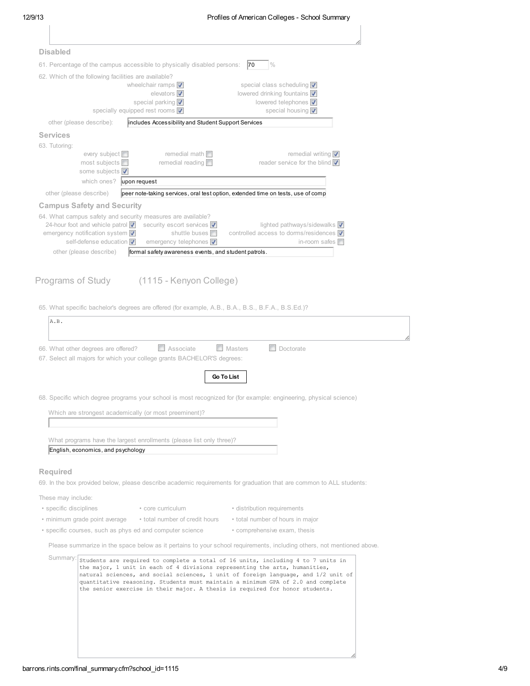| 12/9/13         | Profiles of American Colleges - School Summary                                                                                                                            |
|-----------------|---------------------------------------------------------------------------------------------------------------------------------------------------------------------------|
|                 |                                                                                                                                                                           |
|                 |                                                                                                                                                                           |
| <b>Disabled</b> |                                                                                                                                                                           |
|                 | 61. Percentage of the campus accessible to physically disabled persons: $\vert$ 70 $\vert$ %<br>62. Which of the following facilities are available?                      |
|                 | special class scheduling V<br>wheelchair ramps $\nabla$                                                                                                                   |
|                 | elevators $\overline{\mathbf{v}}$<br>lowered drinking fountains V<br>lowered telephones <b>√</b><br>special parking <b>V</b>                                              |
|                 | special housing v<br>specially equipped rest rooms V                                                                                                                      |
|                 | other (please describe):<br>includes Accessibility and Student Support Services                                                                                           |
| <b>Services</b> |                                                                                                                                                                           |
| 63. Tutoring:   | remedial math $\Box$<br>remedial writing $\sqrt{\phantom{a}}$<br>every subject <b>I</b>                                                                                   |
|                 | most subjects $\Box$<br>remedial reading $\Box$<br>reader service for the blind $\nabla$                                                                                  |
|                 | some subjects V                                                                                                                                                           |
|                 | which ones? upon request                                                                                                                                                  |
|                 | other (please describe)<br>peer note-taking services, oral test option, extended time on tests, use of comp<br><b>Campus Safety and Security</b>                          |
|                 | 64. What campus safety and security measures are available?                                                                                                               |
|                 | 24-hour foot and vehicle patrol v security escort services v<br>lighted pathways/sidewalks v                                                                              |
|                 | emergency notification system V<br>shuttle buses<br>controlled access to dorms/residences $\nabla$<br>self-defense education v<br>emergency telephones v<br>in-room safes |
|                 | formal safety awareness events, and student patrols.<br>other (please describe)                                                                                           |
|                 | 65. What specific bachelor's degrees are offered (for example, A.B., B.A., B.S., B.F.A., B.S.Ed.)?                                                                        |
| A.B.            |                                                                                                                                                                           |
|                 |                                                                                                                                                                           |
|                 | $\Box$ Masters<br>$\Box$ Doctorate<br>Associate<br>66. What other degrees are offered?<br>67. Select all majors for which your college grants BACHELOR'S degrees:         |
|                 |                                                                                                                                                                           |
|                 | Go To List                                                                                                                                                                |
|                 |                                                                                                                                                                           |
|                 | 68. Specific which degree programs your school is most recognized for (for example: engineering, physical science)                                                        |
|                 | Which are strongest academically (or most preeminent)?                                                                                                                    |
|                 |                                                                                                                                                                           |
|                 | What programs have the largest enrollments (please list only three)?                                                                                                      |
|                 | English, economics, and psychology                                                                                                                                        |
| Required        |                                                                                                                                                                           |
|                 | 69. In the box provided below, please describe academic requirements for graduation that are common to ALL students:                                                      |
|                 | These may include:                                                                                                                                                        |
|                 | • specific disciplines<br>• core curriculum<br>• distribution requirements                                                                                                |
|                 | • total number of hours in major<br>• minimum grade point average • total number of credit hours                                                                          |
|                 | • specific courses, such as phys ed and computer science<br>• comprehensive exam, thesis                                                                                  |
|                 | Please summarize in the space below as it pertains to your school requirements, including others, not mentioned above.                                                    |
|                 | Summany: $\frac{1}{\text{Students are required to complete a total of 16 units, including 4 to 7 units in}}$                                                              |
|                 | the major, 1 unit in each of 4 divisions representing the arts, humanities,<br>natural sciences, and social sciences, 1 unit of foreign language, and 1/2 unit of         |
|                 | quantitative reasoning. Students must maintain a minimum GPA of 2.0 and complete<br>the senior exercise in their major. A thesis is required for honor students.          |
|                 |                                                                                                                                                                           |
|                 |                                                                                                                                                                           |
|                 |                                                                                                                                                                           |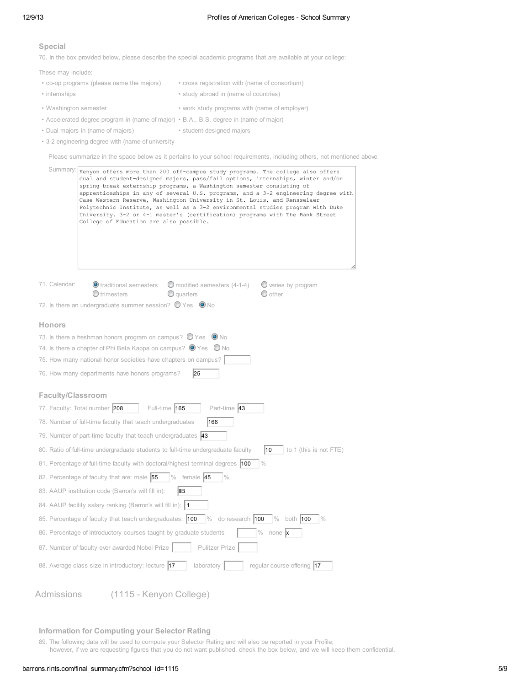#### Special

70. In the box provided below, please describe the special academic programs that are available at your college:

These may include:

- co-op programs (please name the majors) cross registration with (name of consortium) • internships • study abroad in (name of countries) • Washington semester • work study programs with (name of employer)
- Accelerated degree program in (name of major) B.A., B.S. degree in (name of major)
- Dual majors in (name of majors) student-designed majors
- 3-2 engineering degree with (name of university

Please summarize in the space below as it pertains to your school requirements, including others, not mentioned above.

| Summary:                                                                                                                                   | Kenyon offers more than 200 off-campus study programs. The college also offers<br>dual and student-designed majors, pass/fail options, internships, winter and/or<br>spring break externship programs, a Washington semester consisting of<br>apprenticeships in any of several U.S. programs, and a 3-2 engineering degree with<br>Case Western Reserve, Washington University in St. Louis, and Rensselaer<br>Polytechnic Institute, as well as a 3-2 environmental studies program with Duke<br>University. 3-2 or 4-1 master's (certification) programs with The Bank Street<br>College of Education are also possible. |  |  |  |
|--------------------------------------------------------------------------------------------------------------------------------------------|-----------------------------------------------------------------------------------------------------------------------------------------------------------------------------------------------------------------------------------------------------------------------------------------------------------------------------------------------------------------------------------------------------------------------------------------------------------------------------------------------------------------------------------------------------------------------------------------------------------------------------|--|--|--|
| 71. Calendar:                                                                                                                              | $\bullet$ traditional semesters<br>O modified semesters (4-1-4)<br>$\bullet$ varies by program<br>$\bigcirc$ trimesters<br>$\bullet$ quarters<br>$\odot$ other                                                                                                                                                                                                                                                                                                                                                                                                                                                              |  |  |  |
|                                                                                                                                            | 72. Is there an undergraduate summer session? $\bigcirc$ Yes $\bigcirc$ No                                                                                                                                                                                                                                                                                                                                                                                                                                                                                                                                                  |  |  |  |
| <b>Honors</b>                                                                                                                              |                                                                                                                                                                                                                                                                                                                                                                                                                                                                                                                                                                                                                             |  |  |  |
|                                                                                                                                            | 73. Is there a freshman honors program on campus? $\bigcirc$ Yes $\bigcirc$ No                                                                                                                                                                                                                                                                                                                                                                                                                                                                                                                                              |  |  |  |
|                                                                                                                                            | 74. Is there a chapter of Phi Beta Kappa on campus? $\bullet$ Yes $\bullet$ No                                                                                                                                                                                                                                                                                                                                                                                                                                                                                                                                              |  |  |  |
|                                                                                                                                            | 75. How many national honor societies have chapters on campus?                                                                                                                                                                                                                                                                                                                                                                                                                                                                                                                                                              |  |  |  |
|                                                                                                                                            | 76. How many departments have honors programs?<br>25                                                                                                                                                                                                                                                                                                                                                                                                                                                                                                                                                                        |  |  |  |
| Faculty/Classroom                                                                                                                          |                                                                                                                                                                                                                                                                                                                                                                                                                                                                                                                                                                                                                             |  |  |  |
| 77. Faculty: Total number 208                                                                                                              | Part-time 43<br>Full-time 165                                                                                                                                                                                                                                                                                                                                                                                                                                                                                                                                                                                               |  |  |  |
|                                                                                                                                            | 78. Number of full-time faculty that teach undergraduates<br>166                                                                                                                                                                                                                                                                                                                                                                                                                                                                                                                                                            |  |  |  |
|                                                                                                                                            | 79. Number of part-time faculty that teach undergraduates $ 43\rangle$                                                                                                                                                                                                                                                                                                                                                                                                                                                                                                                                                      |  |  |  |
|                                                                                                                                            | 80. Ratio of full-time undergraduate students to full-time undergraduate faculty<br>10<br>to 1 (this is not FTE)                                                                                                                                                                                                                                                                                                                                                                                                                                                                                                            |  |  |  |
|                                                                                                                                            | $\frac{0}{0}$<br>81. Percentage of full-time faculty with doctoral/highest terminal degrees  100                                                                                                                                                                                                                                                                                                                                                                                                                                                                                                                            |  |  |  |
|                                                                                                                                            | 82. Percentage of faculty that are: male 55<br>$%$ female 45<br>$\frac{0}{0}$                                                                                                                                                                                                                                                                                                                                                                                                                                                                                                                                               |  |  |  |
| 83. AAUP institution code (Barron's will fill in):<br>IIIB                                                                                 |                                                                                                                                                                                                                                                                                                                                                                                                                                                                                                                                                                                                                             |  |  |  |
| 84. AAUP facility salary ranking (Barron's will fill in): 1                                                                                |                                                                                                                                                                                                                                                                                                                                                                                                                                                                                                                                                                                                                             |  |  |  |
| 85. Percentage of faculty that teach undergraduates: 100<br>$\frac{0}{0}$<br>do research 100<br>$\frac{0}{0}$<br>both 100<br>$\frac{1}{2}$ |                                                                                                                                                                                                                                                                                                                                                                                                                                                                                                                                                                                                                             |  |  |  |
|                                                                                                                                            | $\%$<br>none x<br>86. Percentage of introductory courses taught by graduate students                                                                                                                                                                                                                                                                                                                                                                                                                                                                                                                                        |  |  |  |
|                                                                                                                                            | 87. Number of faculty ever awarded Nobel Prize<br><b>Pulitzer Prize</b>                                                                                                                                                                                                                                                                                                                                                                                                                                                                                                                                                     |  |  |  |
|                                                                                                                                            | 88. Average class size in introductory: lecture 17<br>laboratory<br>regular course offering 17                                                                                                                                                                                                                                                                                                                                                                                                                                                                                                                              |  |  |  |
| Admissions                                                                                                                                 | (1115 - Kenyon College)                                                                                                                                                                                                                                                                                                                                                                                                                                                                                                                                                                                                     |  |  |  |

### Information for Computing your Selector Rating

89. The following data will be used to compute your Selector Rating and will also be reported in your Profile;

however, if we are requesting figures that you do not want published, check the box below, and we will keep them confidential.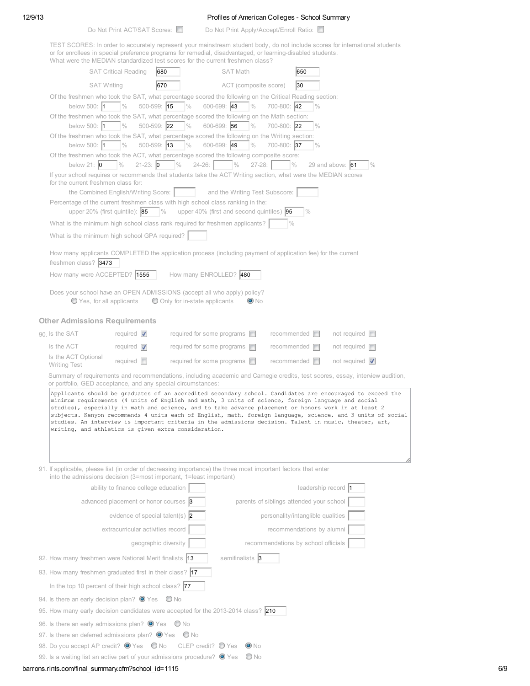## 12/9/13 Profiles of American Colleges - School Summary

| Do Not Print ACT/SAT Scores: | Do Not Print Apply/Accept/Enroll Ratio: |
|------------------------------|-----------------------------------------|
|------------------------------|-----------------------------------------|

| TEST SCORES: In order to accurately represent your mainstream student body, do not include scores for international students<br>or for enrollees in special preference programs for remedial, disadvantaged, or learning-disabled students.<br>What were the MEDIAN standardized test scores for the current freshmen class?                                                                                                                                                                                                                                                                             |                                       |                                   |                             |                                          |                       |               |  |  |  |  |
|----------------------------------------------------------------------------------------------------------------------------------------------------------------------------------------------------------------------------------------------------------------------------------------------------------------------------------------------------------------------------------------------------------------------------------------------------------------------------------------------------------------------------------------------------------------------------------------------------------|---------------------------------------|-----------------------------------|-----------------------------|------------------------------------------|-----------------------|---------------|--|--|--|--|
|                                                                                                                                                                                                                                                                                                                                                                                                                                                                                                                                                                                                          | <b>SAT Critical Reading</b><br>680    |                                   | <b>SAT Math</b>             | 650                                      |                       |               |  |  |  |  |
| <b>SAT Writing</b>                                                                                                                                                                                                                                                                                                                                                                                                                                                                                                                                                                                       | 670                                   |                                   | ACT (composite score)       | 30                                       |                       |               |  |  |  |  |
| Of the freshmen who took the SAT, what percentage scored the following on the Critical Reading section:<br>below 500: 1                                                                                                                                                                                                                                                                                                                                                                                                                                                                                  | $\frac{0}{0}$<br>500-599: 15          | $\frac{0}{0}$<br>600-699: 43      | $\frac{0}{0}$               | 700-800: 42                              | $\frac{0}{0}$         |               |  |  |  |  |
| Of the freshmen who took the SAT, what percentage scored the following on the Math section:                                                                                                                                                                                                                                                                                                                                                                                                                                                                                                              |                                       |                                   |                             |                                          |                       |               |  |  |  |  |
| below 500: $\vert$ 1                                                                                                                                                                                                                                                                                                                                                                                                                                                                                                                                                                                     | $\frac{0}{0}$<br>500-599: 22          | $\frac{0}{0}$<br>600-699: 56      | $\frac{0}{0}$               | 700-800: 22                              | $\frac{0}{0}$         |               |  |  |  |  |
| Of the freshmen who took the SAT, what percentage scored the following on the Writing section:<br>below 500: $\vert$ 1                                                                                                                                                                                                                                                                                                                                                                                                                                                                                   | $\frac{0}{0}$<br>$500 - 599$ : 13     | $\frac{0}{0}$<br>600-699: 49      | $\%$                        | 700-800: 37                              | $\frac{0}{0}$         |               |  |  |  |  |
| Of the freshmen who took the ACT, what percentage scored the following composite score:<br>below 21: $\vert 0 \rangle$                                                                                                                                                                                                                                                                                                                                                                                                                                                                                   | $21-23: 0$<br>$\frac{0}{0}$           | $\frac{0}{0}$<br>$24 - 26$ :      | $\frac{0}{0}$<br>$27 - 28:$ | $\frac{0}{0}$                            | 29 and above: $61$    | $\frac{0}{0}$ |  |  |  |  |
| If your school requires or recommends that students take the ACT Writing section, what were the MEDIAN scores                                                                                                                                                                                                                                                                                                                                                                                                                                                                                            |                                       |                                   |                             |                                          |                       |               |  |  |  |  |
| for the current freshmen class for:<br>the Combined English/Writing Score:<br>and the Writing Test Subscore:                                                                                                                                                                                                                                                                                                                                                                                                                                                                                             |                                       |                                   |                             |                                          |                       |               |  |  |  |  |
| Percentage of the current freshmen class with high school class ranking in the:                                                                                                                                                                                                                                                                                                                                                                                                                                                                                                                          |                                       |                                   |                             |                                          |                       |               |  |  |  |  |
| upper 20% (first quintile): $ 85 $<br>upper 40% (first and second quintiles) 95<br>$\frac{0}{0}$<br>$\frac{0}{0}$                                                                                                                                                                                                                                                                                                                                                                                                                                                                                        |                                       |                                   |                             |                                          |                       |               |  |  |  |  |
| What is the minimum high school class rank required for freshmen applicants?                                                                                                                                                                                                                                                                                                                                                                                                                                                                                                                             |                                       |                                   |                             | $\frac{0}{0}$                            |                       |               |  |  |  |  |
| What is the minimum high school GPA required?                                                                                                                                                                                                                                                                                                                                                                                                                                                                                                                                                            |                                       |                                   |                             |                                          |                       |               |  |  |  |  |
| How many applicants COMPLETED the application process (including payment of application fee) for the current<br>freshmen class? 3473                                                                                                                                                                                                                                                                                                                                                                                                                                                                     |                                       |                                   |                             |                                          |                       |               |  |  |  |  |
| How many were ACCEPTED? 1555                                                                                                                                                                                                                                                                                                                                                                                                                                                                                                                                                                             |                                       | How many ENROLLED? 480            |                             |                                          |                       |               |  |  |  |  |
| Does your school have an OPEN ADMISSIONS (accept all who apply) policy?                                                                                                                                                                                                                                                                                                                                                                                                                                                                                                                                  |                                       |                                   | $\bullet$ No                |                                          |                       |               |  |  |  |  |
| ◯ Yes, for all applicants                                                                                                                                                                                                                                                                                                                                                                                                                                                                                                                                                                                |                                       | O Only for in-state applicants    |                             |                                          |                       |               |  |  |  |  |
| <b>Other Admissions Requirements</b>                                                                                                                                                                                                                                                                                                                                                                                                                                                                                                                                                                     |                                       |                                   |                             |                                          |                       |               |  |  |  |  |
| 90. Is the SAT                                                                                                                                                                                                                                                                                                                                                                                                                                                                                                                                                                                           | required $\triangledown$              | required for some programs $\Box$ |                             | recommended <b>ID</b>                    | not required $\Box$   |               |  |  |  |  |
| Is the ACT                                                                                                                                                                                                                                                                                                                                                                                                                                                                                                                                                                                               | required $\nabla$                     | required for some programs $\Box$ |                             | $recommended$ $\Box$                     | not required $\Box$   |               |  |  |  |  |
| Is the ACT Optional<br><b>Writing Test</b>                                                                                                                                                                                                                                                                                                                                                                                                                                                                                                                                                               | required $\Box$                       | required for some programs $\Box$ |                             | recommended <b>I</b>                     | not required $\nabla$ |               |  |  |  |  |
| Summary of requirements and recommendations, including academic and Carnegie credits, test scores, essay, interview audition,<br>or portfolio, GED acceptance, and any special circumstances:                                                                                                                                                                                                                                                                                                                                                                                                            |                                       |                                   |                             |                                          |                       |               |  |  |  |  |
| Applicants should be graduates of an accredited secondary school. Candidates are encouraged to exceed the<br>minimum requirements (4 units of English and math, 3 units of science, foreign language and social<br>studies), especially in math and science, and to take advance placement or honors work in at least 2<br>subjects. Kenyon recommends 4 units each of English, math, foreign language, science, and 3 units of social<br>studies. An interview is important criteria in the admissions decision. Talent in music, theater, art,<br>writing, and athletics is given extra consideration. |                                       |                                   |                             |                                          |                       |               |  |  |  |  |
| 91. If applicable, please list (in order of decreasing importance) the three most important factors that enter<br>into the admissions decision (3=most important, 1=least important)                                                                                                                                                                                                                                                                                                                                                                                                                     |                                       |                                   |                             |                                          |                       |               |  |  |  |  |
|                                                                                                                                                                                                                                                                                                                                                                                                                                                                                                                                                                                                          | ability to finance college education  |                                   |                             |                                          | leadership record 1   |               |  |  |  |  |
|                                                                                                                                                                                                                                                                                                                                                                                                                                                                                                                                                                                                          | advanced placement or honor courses 3 |                                   |                             | parents of siblings attended your school |                       |               |  |  |  |  |
|                                                                                                                                                                                                                                                                                                                                                                                                                                                                                                                                                                                                          | evidence of special talent(s) $ 2 $   |                                   |                             | personality/intanglible qualities        |                       |               |  |  |  |  |
|                                                                                                                                                                                                                                                                                                                                                                                                                                                                                                                                                                                                          | extracurricular activities record     |                                   |                             | recommendations by alumni                |                       |               |  |  |  |  |
|                                                                                                                                                                                                                                                                                                                                                                                                                                                                                                                                                                                                          | geographic diversity                  |                                   |                             | recommendations by school officials      |                       |               |  |  |  |  |
| 92. How many freshmen were National Merit finalists 13                                                                                                                                                                                                                                                                                                                                                                                                                                                                                                                                                   |                                       |                                   | semifinalists 3             |                                          |                       |               |  |  |  |  |
| 93. How many freshmen graduated first in their class?  17                                                                                                                                                                                                                                                                                                                                                                                                                                                                                                                                                |                                       |                                   |                             |                                          |                       |               |  |  |  |  |
| In the top 10 percent of their high school class? 77                                                                                                                                                                                                                                                                                                                                                                                                                                                                                                                                                     |                                       |                                   |                             |                                          |                       |               |  |  |  |  |
| 94. Is there an early decision plan? $\bullet$ Yes                                                                                                                                                                                                                                                                                                                                                                                                                                                                                                                                                       |                                       | O No                              |                             |                                          |                       |               |  |  |  |  |
| 95. How many early decision candidates were accepted for the 2013-2014 class? 210                                                                                                                                                                                                                                                                                                                                                                                                                                                                                                                        |                                       |                                   |                             |                                          |                       |               |  |  |  |  |
| 96. Is there an early admissions plan? $\bullet$ Yes $\bullet$ No                                                                                                                                                                                                                                                                                                                                                                                                                                                                                                                                        |                                       |                                   |                             |                                          |                       |               |  |  |  |  |
| 97. Is there an deferred admissions plan? $\bullet$ Yes $\bullet$ No                                                                                                                                                                                                                                                                                                                                                                                                                                                                                                                                     |                                       |                                   |                             |                                          |                       |               |  |  |  |  |
| 98. Do you accept AP credit? <sup>O</sup> Yes O No<br>CLEP credit? $\bigcirc$ Yes<br>$\bullet$ No                                                                                                                                                                                                                                                                                                                                                                                                                                                                                                        |                                       |                                   |                             |                                          |                       |               |  |  |  |  |
| $\bigcirc$ No<br>99. Is a waiting list an active part of your admissions procedure? $\bullet$ Yes                                                                                                                                                                                                                                                                                                                                                                                                                                                                                                        |                                       |                                   |                             |                                          |                       |               |  |  |  |  |

## barrons.rints.com/final\_summary.cfm?school\_id=1115 6/9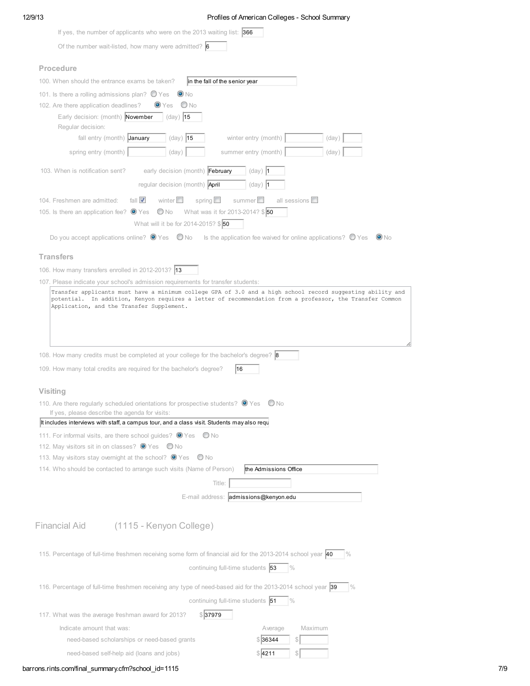## 12/9/13 Profiles of American Colleges - School Summary

| If yes, the number of applicants who were on the 2013 waiting list: $ 366 $                                                                                                                    |  |
|------------------------------------------------------------------------------------------------------------------------------------------------------------------------------------------------|--|
| Of the number wait-listed, how many were admitted? $\vert 6 \vert$                                                                                                                             |  |
|                                                                                                                                                                                                |  |
| Procedure                                                                                                                                                                                      |  |
| 100. When should the entrance exams be taken?<br>in the fall of the senior year                                                                                                                |  |
| 101. Is there a rolling admissions plan? $\bigcirc$ Yes<br>$\bullet$ No                                                                                                                        |  |
| 102. Are there application deadlines?<br>$\bigcirc$ No<br>$\bullet$ Yes                                                                                                                        |  |
| Early decision: (month) November<br>$\vert$ (day) 15                                                                                                                                           |  |
| Regular decision:<br>fall entry (month) January<br>$(day)$ 15<br>winter entry (month)<br>(day)                                                                                                 |  |
|                                                                                                                                                                                                |  |
| spring entry (month)<br>(day)<br>summer entry (month)<br>(day)                                                                                                                                 |  |
| early decision (month) February<br>103. When is notification sent?<br>$(day)$  1                                                                                                               |  |
| regular decision (month) <b>April</b><br>$(day)$ 1                                                                                                                                             |  |
| summer $\square$<br>fall $\overline{\mathbf{V}}$<br>winter $\square$<br>spring $\square$<br>all sessions $\square$<br>104. Freshmen are admitted:                                              |  |
| What was it for 2013-2014? \$50<br>105. Is there an application fee? $\bullet$ Yes<br>$\bigcirc$ No                                                                                            |  |
| What will it be for 2014-2015? \$50                                                                                                                                                            |  |
| Do you accept applications online? $\circledast$ Yes $\circledast$ No Is the application fee waived for online applications? $\circledast$ Yes $\circledast$ No                                |  |
|                                                                                                                                                                                                |  |
| <b>Transfers</b>                                                                                                                                                                               |  |
| 106. How many transfers enrolled in 2012-2013? 13                                                                                                                                              |  |
| 107. Please indicate your school's admission requirements for transfer students:<br>Transfer applicants must have a minimum college GPA of 3.0 and a high school record suggesting ability and |  |
|                                                                                                                                                                                                |  |
| 108. How many credits must be completed at your college for the bachelor's degree? <b>8</b>                                                                                                    |  |
| 109. How many total credits are required for the bachelor's degree?<br>16                                                                                                                      |  |
|                                                                                                                                                                                                |  |
| <b>Visiting</b>                                                                                                                                                                                |  |
| 110. Are there regularly scheduled orientations for prospective students? $\bullet$ Yes $\bullet$ No<br>If yes, please describe the agenda for visits:                                         |  |
| It includes interviews with staff, a campus tour, and a class visit. Students may also requ                                                                                                    |  |
| 111. For informal visits, are there school guides? ● Yes ● No                                                                                                                                  |  |
| 112. May visitors sit in on classes? <sup>1</sup> Yes O No                                                                                                                                     |  |
| 113. May visitors stay overnight at the school? ● Yes ● No                                                                                                                                     |  |
| 114. Who should be contacted to arrange such visits (Name of Person)<br>the Admissions Office                                                                                                  |  |
| Title:                                                                                                                                                                                         |  |
| E-mail address: admissions@kenyon.edu                                                                                                                                                          |  |
|                                                                                                                                                                                                |  |
| (1115 - Kenyon College)<br><b>Financial Aid</b>                                                                                                                                                |  |
| 115. Percentage of full-time freshmen receiving some form of financial aid for the 2013-2014 school year 40<br>$\frac{10}{6}$                                                                  |  |
| continuing full-time students 53<br>$\%$                                                                                                                                                       |  |
|                                                                                                                                                                                                |  |
| 116. Percentage of full-time freshmen receiving any type of need-based aid for the 2013-2014 school year 39<br>$\frac{9}{6}$                                                                   |  |
| continuing full-time students 51<br>$\%$                                                                                                                                                       |  |
| \$ 37979<br>117. What was the average freshman award for 2013?                                                                                                                                 |  |
| Indicate amount that was:<br>Average<br>Maximum                                                                                                                                                |  |
| need-based scholarships or need-based grants<br>\$ 36344                                                                                                                                       |  |
| need-based self-help aid (loans and jobs)<br>\$1211                                                                                                                                            |  |

barrons.rints.com/final\_summary.cfm?school\_id=1115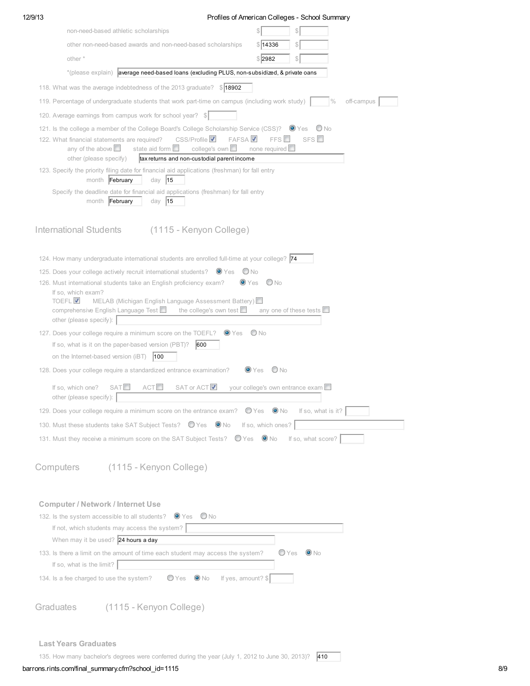| 12/9/13   |                                                                                                                                                                                                                       |                                              | Profiles of American Colleges - School Summary |  |  |  |  |  |  |
|-----------|-----------------------------------------------------------------------------------------------------------------------------------------------------------------------------------------------------------------------|----------------------------------------------|------------------------------------------------|--|--|--|--|--|--|
|           | non-need-based athletic scholarships                                                                                                                                                                                  |                                              | S                                              |  |  |  |  |  |  |
|           | other non-need-based awards and non-need-based scholarships                                                                                                                                                           | \$14336                                      | S                                              |  |  |  |  |  |  |
|           | other *                                                                                                                                                                                                               | \$2982                                       | S                                              |  |  |  |  |  |  |
|           | *(please explain) average need-based loans (excluding PLUS, non-subsidized, & private oans                                                                                                                            |                                              |                                                |  |  |  |  |  |  |
|           | 118. What was the average indebtedness of the 2013 graduate?<br>\$18902                                                                                                                                               |                                              |                                                |  |  |  |  |  |  |
|           |                                                                                                                                                                                                                       |                                              |                                                |  |  |  |  |  |  |
|           | 119. Percentage of undergraduate students that work part-time on campus (including work study)                                                                                                                        |                                              | $\frac{0}{0}$<br>off-campus                    |  |  |  |  |  |  |
|           | 120. Average earnings from campus work for school year? \$<br>121. Is the college a member of the College Board's College Scholarship Service (CSS)? <sup>O</sup> Yes<br>O No                                         |                                              |                                                |  |  |  |  |  |  |
|           |                                                                                                                                                                                                                       |                                              |                                                |  |  |  |  |  |  |
|           | CSS/Profile V<br><b>FAFSAV</b><br>122. What financial statements are required?<br>any of the above $\Box$<br>college's own<br>state aid form<br>other (please specify)<br>tax returns and non-custodial parent income | FFS <sup>II</sup><br>none required $\square$ | $SFS$ $\Box$                                   |  |  |  |  |  |  |
|           | 123. Specify the priority filing date for financial aid applications (freshman) for fall entry<br>month February<br>day $ 15$                                                                                         |                                              |                                                |  |  |  |  |  |  |
|           | Specify the deadline date for financial aid applications (freshman) for fall entry<br>month February<br>day $ 15$                                                                                                     |                                              |                                                |  |  |  |  |  |  |
|           | International Students<br>(1115 - Kenyon College)                                                                                                                                                                     |                                              |                                                |  |  |  |  |  |  |
|           | 124. How many undergraduate international students are enrolled full-time at your college? 74                                                                                                                         |                                              |                                                |  |  |  |  |  |  |
|           | 125. Does your college actively recruit international students? $\bullet$ Yes<br>$\bigcirc$ No                                                                                                                        |                                              |                                                |  |  |  |  |  |  |
|           | 126. Must international students take an English proficiency exam?<br>$\bullet$ Yes<br>If so, which exam?                                                                                                             | $\bigcirc$ No                                |                                                |  |  |  |  |  |  |
|           | <b>TOEFL<sup>V</sup></b><br>MELAB (Michigan English Language Assessment Battery)                                                                                                                                      |                                              |                                                |  |  |  |  |  |  |
|           | comprehensive English Language Test<br>the college's own test $\Box$<br>other (please specify): $\vert$                                                                                                               | any one of these tests $\Box$                |                                                |  |  |  |  |  |  |
|           | 127. Does your college require a minimum score on the TOEFL? <sup>O</sup> Yes                                                                                                                                         | O No                                         |                                                |  |  |  |  |  |  |
|           | If so, what is it on the paper-based version (PBT)?<br>600                                                                                                                                                            |                                              |                                                |  |  |  |  |  |  |
|           | on the Internet-based version (iBT)<br> 100                                                                                                                                                                           |                                              |                                                |  |  |  |  |  |  |
|           | 128. Does your college require a standardized entrance examination?                                                                                                                                                   | O No<br>$\bullet$ Yes                        |                                                |  |  |  |  |  |  |
|           | SAT or ACT<br><b>SATL</b><br>ACT <sup>2</sup><br>If so, which one?<br>other (please specify):                                                                                                                         | your college's own entrance exam             |                                                |  |  |  |  |  |  |
|           | 129. Does your college require a minimum score on the entrance exam? $\bigcirc$ Yes $\bigcirc$ No                                                                                                                     |                                              | If so, what is it?                             |  |  |  |  |  |  |
|           | 130. Must these students take SAT Subject Tests? O Yes O No                                                                                                                                                           | If so, which ones?                           |                                                |  |  |  |  |  |  |
|           | 131. Must they receive a minimum score on the SAT Subject Tests? O Yes O No If so, what score?                                                                                                                        |                                              |                                                |  |  |  |  |  |  |
| Computers | (1115 - Kenyon College)                                                                                                                                                                                               |                                              |                                                |  |  |  |  |  |  |
|           | <b>Computer / Network / Internet Use</b>                                                                                                                                                                              |                                              |                                                |  |  |  |  |  |  |
|           | $\bullet$ Yes $\bullet$ No<br>132. Is the system accessible to all students?                                                                                                                                          |                                              |                                                |  |  |  |  |  |  |
|           | If not, which students may access the system?                                                                                                                                                                         |                                              |                                                |  |  |  |  |  |  |
|           | When may it be used? $24$ hours a day                                                                                                                                                                                 |                                              |                                                |  |  |  |  |  |  |
|           | 133. Is there a limit on the amount of time each student may access the system?<br>If so, what is the limit?                                                                                                          | ● Yes                                        | $\bullet$ No                                   |  |  |  |  |  |  |
|           | If yes, amount? \$<br>134. Is a fee charged to use the system?<br>● Yes<br>$\bullet$ No                                                                                                                               |                                              |                                                |  |  |  |  |  |  |
| Graduates | (1115 - Kenyon College)                                                                                                                                                                                               |                                              |                                                |  |  |  |  |  |  |
|           |                                                                                                                                                                                                                       |                                              |                                                |  |  |  |  |  |  |
|           |                                                                                                                                                                                                                       |                                              |                                                |  |  |  |  |  |  |
|           | <b>Last Years Graduates</b>                                                                                                                                                                                           |                                              |                                                |  |  |  |  |  |  |
|           | 135. How many bachelor's degrees were conferred during the year (July 1, 2012 to June 30, 2013)? 410                                                                                                                  |                                              |                                                |  |  |  |  |  |  |